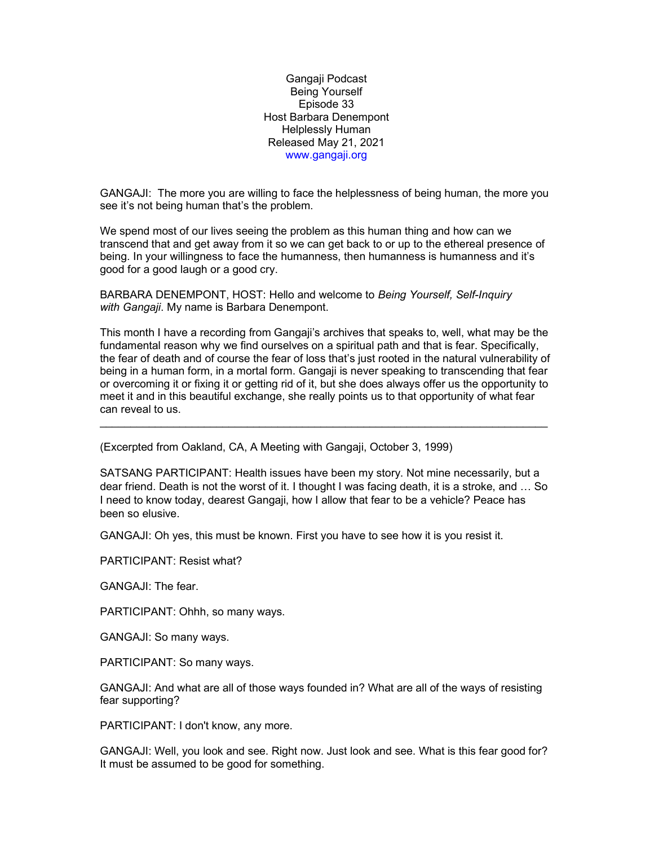Gangaji Podcast Being Yourself Episode 33 Host Barbara Denempont Helplessly Human Released May 21, 2021 www.gangaji.org

GANGAJI: The more you are willing to face the helplessness of being human, the more you see it's not being human that's the problem.

We spend most of our lives seeing the problem as this human thing and how can we transcend that and get away from it so we can get back to or up to the ethereal presence of being. In your willingness to face the humanness, then humanness is humanness and it's good for a good laugh or a good cry.

BARBARA DENEMPONT, HOST: Hello and welcome to Being Yourself, Self-Inquiry with Gangaji. My name is Barbara Denempont.

This month I have a recording from Gangaji's archives that speaks to, well, what may be the fundamental reason why we find ourselves on a spiritual path and that is fear. Specifically, the fear of death and of course the fear of loss that's just rooted in the natural vulnerability of being in a human form, in a mortal form. Gangaji is never speaking to transcending that fear or overcoming it or fixing it or getting rid of it, but she does always offer us the opportunity to meet it and in this beautiful exchange, she really points us to that opportunity of what fear can reveal to us.

\_\_\_\_\_\_\_\_\_\_\_\_\_\_\_\_\_\_\_\_\_\_\_\_\_\_\_\_\_\_\_\_\_\_\_\_\_\_\_\_\_\_\_\_\_\_\_\_\_\_\_\_\_\_\_\_\_\_\_\_\_\_\_\_\_\_\_\_\_\_\_\_\_

(Excerpted from Oakland, CA, A Meeting with Gangaji, October 3, 1999)

SATSANG PARTICIPANT: Health issues have been my story. Not mine necessarily, but a dear friend. Death is not the worst of it. I thought I was facing death, it is a stroke, and … So I need to know today, dearest Gangaji, how I allow that fear to be a vehicle? Peace has been so elusive.

GANGAJI: Oh yes, this must be known. First you have to see how it is you resist it.

PARTICIPANT: Resist what?

GANGAJI: The fear.

PARTICIPANT: Ohhh, so many ways.

GANGAJI: So many ways.

PARTICIPANT: So many ways.

GANGAJI: And what are all of those ways founded in? What are all of the ways of resisting fear supporting?

PARTICIPANT: I don't know, any more.

GANGAJI: Well, you look and see. Right now. Just look and see. What is this fear good for? It must be assumed to be good for something.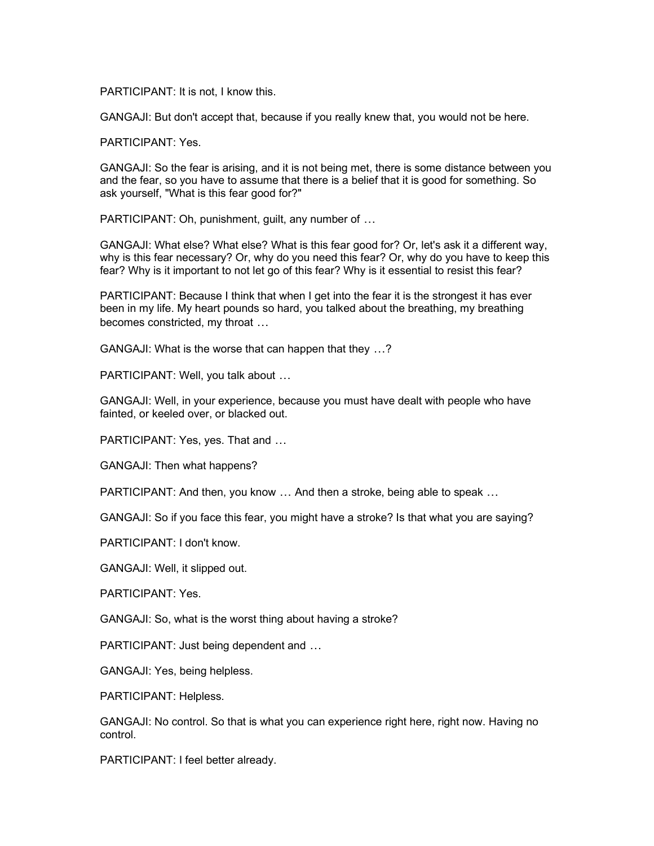PARTICIPANT: It is not, I know this.

GANGAJI: But don't accept that, because if you really knew that, you would not be here.

PARTICIPANT: Yes.

GANGAJI: So the fear is arising, and it is not being met, there is some distance between you and the fear, so you have to assume that there is a belief that it is good for something. So ask yourself, "What is this fear good for?"

PARTICIPANT: Oh, punishment, guilt, any number of …

GANGAJI: What else? What else? What is this fear good for? Or, let's ask it a different way, why is this fear necessary? Or, why do you need this fear? Or, why do you have to keep this fear? Why is it important to not let go of this fear? Why is it essential to resist this fear?

PARTICIPANT: Because I think that when I get into the fear it is the strongest it has ever been in my life. My heart pounds so hard, you talked about the breathing, my breathing becomes constricted, my throat …

GANGAJI: What is the worse that can happen that they …?

PARTICIPANT: Well, you talk about …

GANGAJI: Well, in your experience, because you must have dealt with people who have fainted, or keeled over, or blacked out.

PARTICIPANT: Yes, yes. That and …

GANGAJI: Then what happens?

PARTICIPANT: And then, you know … And then a stroke, being able to speak …

GANGAJI: So if you face this fear, you might have a stroke? Is that what you are saying?

PARTICIPANT: I don't know.

GANGAJI: Well, it slipped out.

PARTICIPANT: Yes.

GANGAJI: So, what is the worst thing about having a stroke?

PARTICIPANT: Just being dependent and …

GANGAJI: Yes, being helpless.

PARTICIPANT: Helpless.

GANGAJI: No control. So that is what you can experience right here, right now. Having no control.

PARTICIPANT: I feel better already.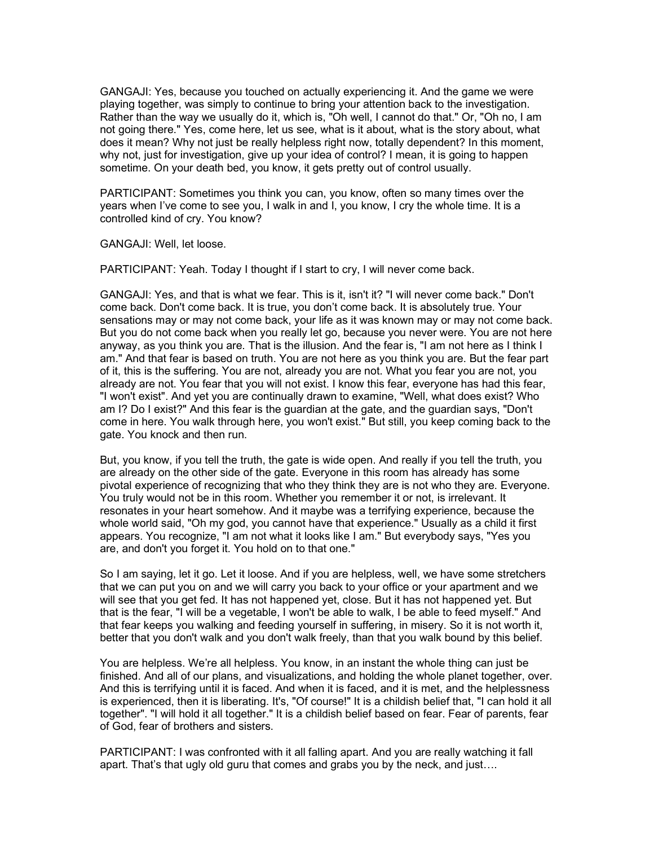GANGAJI: Yes, because you touched on actually experiencing it. And the game we were playing together, was simply to continue to bring your attention back to the investigation. Rather than the way we usually do it, which is, "Oh well, I cannot do that." Or, "Oh no, I am not going there." Yes, come here, let us see, what is it about, what is the story about, what does it mean? Why not just be really helpless right now, totally dependent? In this moment, why not, just for investigation, give up your idea of control? I mean, it is going to happen sometime. On your death bed, you know, it gets pretty out of control usually.

PARTICIPANT: Sometimes you think you can, you know, often so many times over the years when I've come to see you, I walk in and I, you know, I cry the whole time. It is a controlled kind of cry. You know?

GANGAJI: Well, let loose.

PARTICIPANT: Yeah. Today I thought if I start to cry, I will never come back.

GANGAJI: Yes, and that is what we fear. This is it, isn't it? "I will never come back." Don't come back. Don't come back. It is true, you don't come back. It is absolutely true. Your sensations may or may not come back, your life as it was known may or may not come back. But you do not come back when you really let go, because you never were. You are not here anyway, as you think you are. That is the illusion. And the fear is, "I am not here as I think I am." And that fear is based on truth. You are not here as you think you are. But the fear part of it, this is the suffering. You are not, already you are not. What you fear you are not, you already are not. You fear that you will not exist. I know this fear, everyone has had this fear, "I won't exist". And yet you are continually drawn to examine, "Well, what does exist? Who am I? Do I exist?" And this fear is the guardian at the gate, and the guardian says, "Don't come in here. You walk through here, you won't exist." But still, you keep coming back to the gate. You knock and then run.

But, you know, if you tell the truth, the gate is wide open. And really if you tell the truth, you are already on the other side of the gate. Everyone in this room has already has some pivotal experience of recognizing that who they think they are is not who they are. Everyone. You truly would not be in this room. Whether you remember it or not, is irrelevant. It resonates in your heart somehow. And it maybe was a terrifying experience, because the whole world said, "Oh my god, you cannot have that experience." Usually as a child it first appears. You recognize, "I am not what it looks like I am." But everybody says, "Yes you are, and don't you forget it. You hold on to that one."

So I am saying, let it go. Let it loose. And if you are helpless, well, we have some stretchers that we can put you on and we will carry you back to your office or your apartment and we will see that you get fed. It has not happened yet, close. But it has not happened yet. But that is the fear, "I will be a vegetable, I won't be able to walk, I be able to feed myself." And that fear keeps you walking and feeding yourself in suffering, in misery. So it is not worth it, better that you don't walk and you don't walk freely, than that you walk bound by this belief.

You are helpless. We're all helpless. You know, in an instant the whole thing can just be finished. And all of our plans, and visualizations, and holding the whole planet together, over. And this is terrifying until it is faced. And when it is faced, and it is met, and the helplessness is experienced, then it is liberating. It's, "Of course!" It is a childish belief that, "I can hold it all together". "I will hold it all together." It is a childish belief based on fear. Fear of parents, fear of God, fear of brothers and sisters.

PARTICIPANT: I was confronted with it all falling apart. And you are really watching it fall apart. That's that ugly old guru that comes and grabs you by the neck, and just….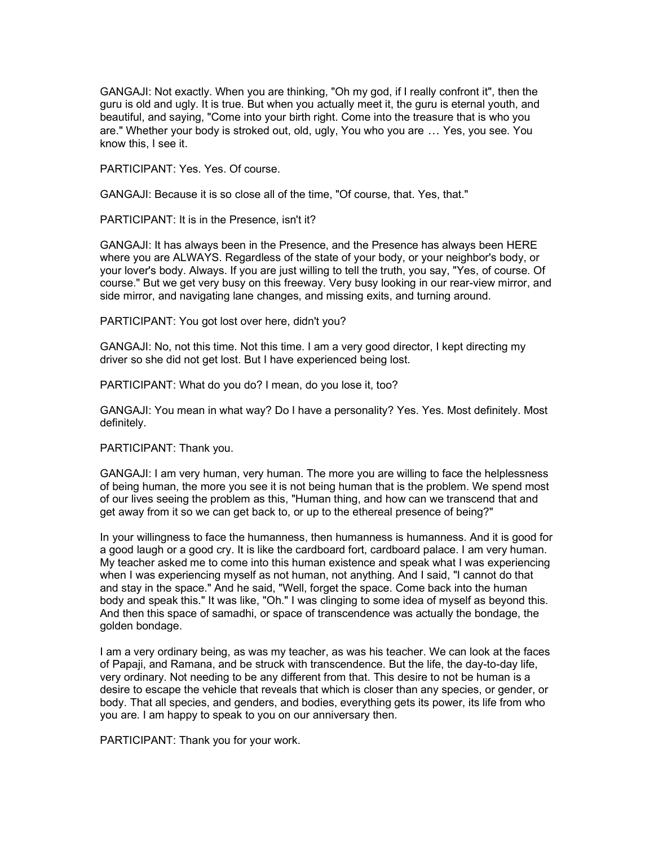GANGAJI: Not exactly. When you are thinking, "Oh my god, if I really confront it", then the guru is old and ugly. It is true. But when you actually meet it, the guru is eternal youth, and beautiful, and saying, "Come into your birth right. Come into the treasure that is who you are." Whether your body is stroked out, old, ugly, You who you are … Yes, you see. You know this, I see it.

PARTICIPANT: Yes. Yes. Of course.

GANGAJI: Because it is so close all of the time, "Of course, that. Yes, that."

PARTICIPANT: It is in the Presence, isn't it?

GANGAJI: It has always been in the Presence, and the Presence has always been HERE where you are ALWAYS. Regardless of the state of your body, or your neighbor's body, or your lover's body. Always. If you are just willing to tell the truth, you say, "Yes, of course. Of course." But we get very busy on this freeway. Very busy looking in our rear-view mirror, and side mirror, and navigating lane changes, and missing exits, and turning around.

PARTICIPANT: You got lost over here, didn't you?

GANGAJI: No, not this time. Not this time. I am a very good director, I kept directing my driver so she did not get lost. But I have experienced being lost.

PARTICIPANT: What do you do? I mean, do you lose it, too?

GANGAJI: You mean in what way? Do I have a personality? Yes. Yes. Most definitely. Most definitely.

PARTICIPANT: Thank you.

GANGAJI: I am very human, very human. The more you are willing to face the helplessness of being human, the more you see it is not being human that is the problem. We spend most of our lives seeing the problem as this, "Human thing, and how can we transcend that and get away from it so we can get back to, or up to the ethereal presence of being?"

In your willingness to face the humanness, then humanness is humanness. And it is good for a good laugh or a good cry. It is like the cardboard fort, cardboard palace. I am very human. My teacher asked me to come into this human existence and speak what I was experiencing when I was experiencing myself as not human, not anything. And I said, "I cannot do that and stay in the space." And he said, "Well, forget the space. Come back into the human body and speak this." It was like, "Oh." I was clinging to some idea of myself as beyond this. And then this space of samadhi, or space of transcendence was actually the bondage, the golden bondage.

I am a very ordinary being, as was my teacher, as was his teacher. We can look at the faces of Papaji, and Ramana, and be struck with transcendence. But the life, the day-to-day life, very ordinary. Not needing to be any different from that. This desire to not be human is a desire to escape the vehicle that reveals that which is closer than any species, or gender, or body. That all species, and genders, and bodies, everything gets its power, its life from who you are. I am happy to speak to you on our anniversary then.

PARTICIPANT: Thank you for your work.